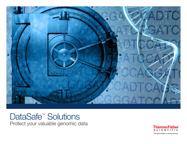

## DataSafe<sup>™</sup> Solutions Protect your valuable genomic data

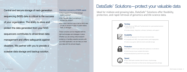Ideal for midsize and growing labs, DataSafe™ Solutions offer flexibility, protection, and rapid retrieval of genomics and life science data.



### **Turnkey**

Central and secure storage of next-generation sequencing (NGS) data is critical to the success of your organization. The ability to store and protect the data generated from your NGS sequencers contributes to streamlined data management and offers safeguards against disasters. We partner with you to provide a scalable data storage and backup solution.

- Fully rely on our NGS and IT professionals for a personalized solution built for your lab
- Includes design, integration, software, hardware, and support



### **Scalability**

- Private storage space for all of your instrument data
- Compatible with NGS, mass spectrometry, and imaging data
- Scales as you grow: add instruments and add storage



### **Protection**

- Be 100% in control of your data with a physical, on-site device
- Control access to your sample information
- Automatically back up and mirror your data



### Speed

- Up to 100x faster transfers than off-site or cloud storage
- Make your instrument run like new by cleaning up primary storage

### Common concerns of NGS users:

- What happens if my current storage system crashes?
- Can I recover data if something is accidentally erased?
- Do I have a second copy of all my NGS data on-site, to access in case of system failure, theft, or damage?

These concerns can be mitigated with the right technologies and strategies in place. Whether you are solving critical research problems or handling valuable samples with your NGS application, we can help you treat your data with the utmost integrity.

# DataSafe<sup>™</sup> Solutions—protect your valuable data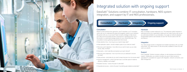

# Integrated solution with ongoing support

Consultation Hardware Integration Ongoing support

DataSafe<sup>™</sup> Solutions combine IT consultation, hardware, NGS system integration, and support by IT and NGS professionals.

### **Consultation**

Based on best practices from genomics, and IT industries, our IT consultant works with you to understand the data and budgetary needs of your institution. We partner with you or your local IT team to build a strategy to help ensure your data can be recovered should a mechanical or operational error occur this results in a customized storage solution for your critical NGS data. The consultation involves gathering requirements that include:

• Data retention time—how long do you need to keep data?

• Data replication needs—should multiple copies of your data be made?

• Recovery-point objectives—how often do you want to back up your data

• Granularity—which data files are backed up at each interval?

• Recovery-time objectives—how much time can you dedicate to recover

- 
- 
- (hourly, daily, monthly)?
- 
- lost data?
- 
- 
- 
- Operational recovery—what is the plan if something gets deleted accidentally?

• Data archives—what data do you want to keep long term but not access daily? • Volume management—what is the best way to use disk space to balance efficiency, reliability, and budget?

• Disaster recovery—what is the plan if a disk fails?

### **Hardware**

Next, we design a system tailored for you. The enterprise-quality hardware is optimized around your organization's goals and can scale to grow with you as you add instrumentation to your laboratory. Our scale-out network attached storage (NAS) systems start between 20 and 100 TB and scale to 500 TB and beyond.

### Integration

Your data storage solution is integrated and installed seamlessly with your NGS instruments. Your data remains on site and private, available to share only with users you specify.

### **Support**

Every DataSafe™ Solution includes multiyear, on-site hardware and software support. Additionally, your solution includes one year of direct access to specialized IT consultants for support with integration, network connection, and data management.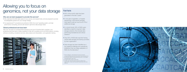

## Allowing you to focus on genomics, not your data storage

### Why are we best equipped to provide this service?

- We understand the NGS data needs of core, service, and research labs, and are prepared to provide knowledgeable guidance for your storage strategy
- Our experienced IT consultants are proficient in NGS, the Linux® operating system, and highperformance computing, and are well versed in genomics data storage needs

### Global professional services team

With over 155 years of combined NGS experience and over 45 bioinformatics scientists, your professional services team is highly equipped to help with complete end-to-end NGS projects, including software consulting, compliance services, data analysis and interpretation, and application training.



## Fast facts

- 90% of the world's data has been generated in the last 2 years<sup>1</sup>
- In one year of operation, a hospital sequencing 1,000 exome samples may need to add as much as 50 TB of additional storage
- In a recent study, 50% of NGS users identified a need for long-term data storage solutions; this includes labs performing translational and clinical research 2
- Only 30% of NGS labs reported having central data storage and backup provided by their organization<sup>3</sup>
- Data storage has been identified as a top logistical challenge and operational bottleneck that can delay adaptation of NGS into the laboratory<sup>4</sup>
- 1. Baseline Magazine: http://www.baselinemag.com/analyt ics-big-data/slideshows/surprising-statistics-about-big-data.html
- 2. BCC Research Market Forecasting, Bioinformatics: Technologies and Global Markets, April 2013.
- 3. Percepta market research report 2014.
- 4. DeciBio report, Next-Generation Sequencing: Market Size, Segmentation, Growth and Trends by Provider, March 2013, 2nd Edition.w